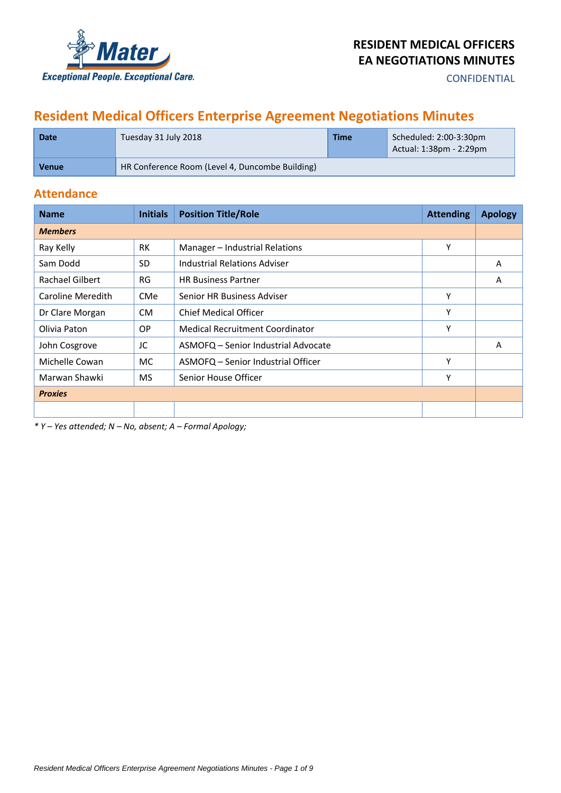

**CONFIDENTIAL** 

# **Resident Medical Officers Enterprise Agreement Negotiations Minutes**

| <b>Date</b>  | Tuesday 31 July 2018                            | Time | Scheduled: 2:00-3:30pm<br>Actual: $1:38$ pm - $2:29$ pm |
|--------------|-------------------------------------------------|------|---------------------------------------------------------|
| <b>Venue</b> | HR Conference Room (Level 4, Duncombe Building) |      |                                                         |

## **Attendance**

| <b>Name</b>            | <b>Initials</b> | <b>Position Title/Role</b>          | <b>Attending</b> | <b>Apology</b> |
|------------------------|-----------------|-------------------------------------|------------------|----------------|
| <b>Members</b>         |                 |                                     |                  |                |
| Ray Kelly              | <b>RK</b>       | Manager - Industrial Relations      | Υ                |                |
| Sam Dodd               | <b>SD</b>       | <b>Industrial Relations Adviser</b> |                  | A              |
| <b>Rachael Gilbert</b> | <b>RG</b>       | <b>HR Business Partner</b>          |                  | A              |
| Caroline Meredith      | <b>CMe</b>      | Senior HR Business Adviser          | Υ                |                |
| Dr Clare Morgan        | CM.             | <b>Chief Medical Officer</b>        | Υ                |                |
| Olivia Paton           | <b>OP</b>       | Medical Recruitment Coordinator     | Υ                |                |
| John Cosgrove          | JC              | ASMOFQ - Senior Industrial Advocate |                  | A              |
| Michelle Cowan         | MC.             | ASMOFQ – Senior Industrial Officer  | Υ                |                |
| Marwan Shawki          | <b>MS</b>       | Senior House Officer                | Υ                |                |
| <b>Proxies</b>         |                 |                                     |                  |                |
|                        |                 |                                     |                  |                |

*\* Y – Yes attended; N – No, absent; A – Formal Apology;*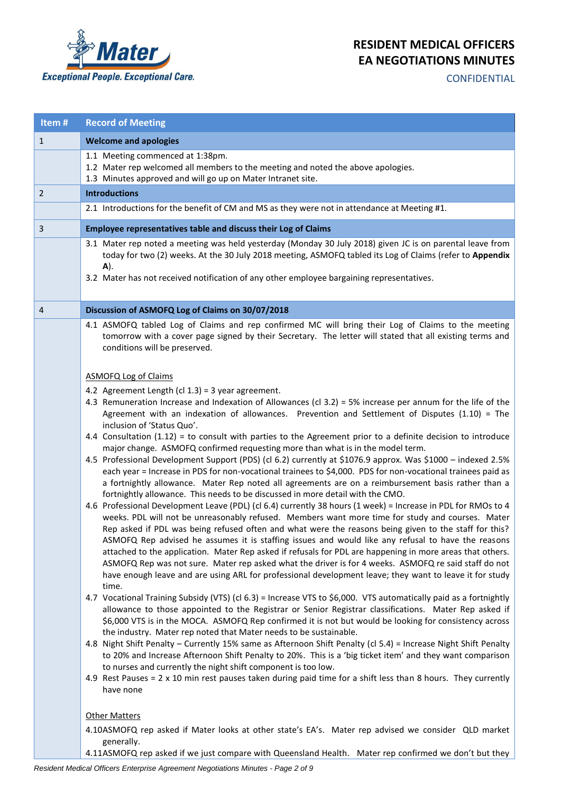

**CONFIDENTIAL** 

| Item#          | <b>Record of Meeting</b>                                                                                                                                                                                                                                                                                                                                                                                                                                                                                                                                                                                                                                                                                                              |
|----------------|---------------------------------------------------------------------------------------------------------------------------------------------------------------------------------------------------------------------------------------------------------------------------------------------------------------------------------------------------------------------------------------------------------------------------------------------------------------------------------------------------------------------------------------------------------------------------------------------------------------------------------------------------------------------------------------------------------------------------------------|
| $\mathbf{1}$   | <b>Welcome and apologies</b>                                                                                                                                                                                                                                                                                                                                                                                                                                                                                                                                                                                                                                                                                                          |
|                | 1.1 Meeting commenced at 1:38pm.<br>1.2 Mater rep welcomed all members to the meeting and noted the above apologies.<br>1.3 Minutes approved and will go up on Mater Intranet site.                                                                                                                                                                                                                                                                                                                                                                                                                                                                                                                                                   |
| 2              | <b>Introductions</b>                                                                                                                                                                                                                                                                                                                                                                                                                                                                                                                                                                                                                                                                                                                  |
|                | 2.1 Introductions for the benefit of CM and MS as they were not in attendance at Meeting #1.                                                                                                                                                                                                                                                                                                                                                                                                                                                                                                                                                                                                                                          |
| $\overline{3}$ | Employee representatives table and discuss their Log of Claims                                                                                                                                                                                                                                                                                                                                                                                                                                                                                                                                                                                                                                                                        |
|                | 3.1 Mater rep noted a meeting was held yesterday (Monday 30 July 2018) given JC is on parental leave from<br>today for two (2) weeks. At the 30 July 2018 meeting, ASMOFQ tabled its Log of Claims (refer to Appendix<br>A).<br>3.2 Mater has not received notification of any other employee bargaining representatives.                                                                                                                                                                                                                                                                                                                                                                                                             |
| 4              | Discussion of ASMOFQ Log of Claims on 30/07/2018                                                                                                                                                                                                                                                                                                                                                                                                                                                                                                                                                                                                                                                                                      |
|                | 4.1 ASMOFQ tabled Log of Claims and rep confirmed MC will bring their Log of Claims to the meeting<br>tomorrow with a cover page signed by their Secretary. The letter will stated that all existing terms and<br>conditions will be preserved.                                                                                                                                                                                                                                                                                                                                                                                                                                                                                       |
|                | <b>ASMOFQ Log of Claims</b>                                                                                                                                                                                                                                                                                                                                                                                                                                                                                                                                                                                                                                                                                                           |
|                | 4.2 Agreement Length (cl $1.3$ ) = 3 year agreement.<br>4.3 Remuneration Increase and Indexation of Allowances (cl 3.2) = 5% increase per annum for the life of the<br>Agreement with an indexation of allowances. Prevention and Settlement of Disputes $(1.10)$ = The<br>inclusion of 'Status Quo'.                                                                                                                                                                                                                                                                                                                                                                                                                                 |
|                | 4.4 Consultation (1.12) = to consult with parties to the Agreement prior to a definite decision to introduce<br>major change. ASMOFQ confirmed requesting more than what is in the model term.<br>4.5 Professional Development Support (PDS) (cl 6.2) currently at \$1076.9 approx. Was \$1000 - indexed 2.5%<br>each year = Increase in PDS for non-vocational trainees to \$4,000. PDS for non-vocational trainees paid as<br>a fortnightly allowance. Mater Rep noted all agreements are on a reimbursement basis rather than a<br>fortnightly allowance. This needs to be discussed in more detail with the CMO.<br>4.6 Professional Development Leave (PDL) (cl 6.4) currently 38 hours (1 week) = Increase in PDL for RMOs to 4 |
|                | weeks. PDL will not be unreasonably refused. Members want more time for study and courses. Mater<br>Rep asked if PDL was being refused often and what were the reasons being given to the staff for this?<br>ASMOFQ Rep advised he assumes it is staffing issues and would like any refusal to have the reasons<br>attached to the application. Mater Rep asked if refusals for PDL are happening in more areas that others.<br>ASMOFQ Rep was not sure. Mater rep asked what the driver is for 4 weeks. ASMOFQ re said staff do not<br>have enough leave and are using ARL for professional development leave; they want to leave it for study<br>time.                                                                              |
|                | 4.7 Vocational Training Subsidy (VTS) (cl 6.3) = Increase VTS to \$6,000. VTS automatically paid as a fortnightly<br>allowance to those appointed to the Registrar or Senior Registrar classifications. Mater Rep asked if<br>\$6,000 VTS is in the MOCA. ASMOFQ Rep confirmed it is not but would be looking for consistency across<br>the industry. Mater rep noted that Mater needs to be sustainable.                                                                                                                                                                                                                                                                                                                             |
|                | 4.8 Night Shift Penalty - Currently 15% same as Afternoon Shift Penalty (cl 5.4) = Increase Night Shift Penalty<br>to 20% and Increase Afternoon Shift Penalty to 20%. This is a 'big ticket item' and they want comparison<br>to nurses and currently the night shift component is too low.                                                                                                                                                                                                                                                                                                                                                                                                                                          |
|                | 4.9 Rest Pauses = 2 x 10 min rest pauses taken during paid time for a shift less than 8 hours. They currently<br>have none                                                                                                                                                                                                                                                                                                                                                                                                                                                                                                                                                                                                            |
|                | <b>Other Matters</b>                                                                                                                                                                                                                                                                                                                                                                                                                                                                                                                                                                                                                                                                                                                  |
|                | 4.10ASMOFQ rep asked if Mater looks at other state's EA's. Mater rep advised we consider QLD market<br>generally.                                                                                                                                                                                                                                                                                                                                                                                                                                                                                                                                                                                                                     |

4.11ASMOFQ rep asked if we just compare with Queensland Health. Mater rep confirmed we don't but they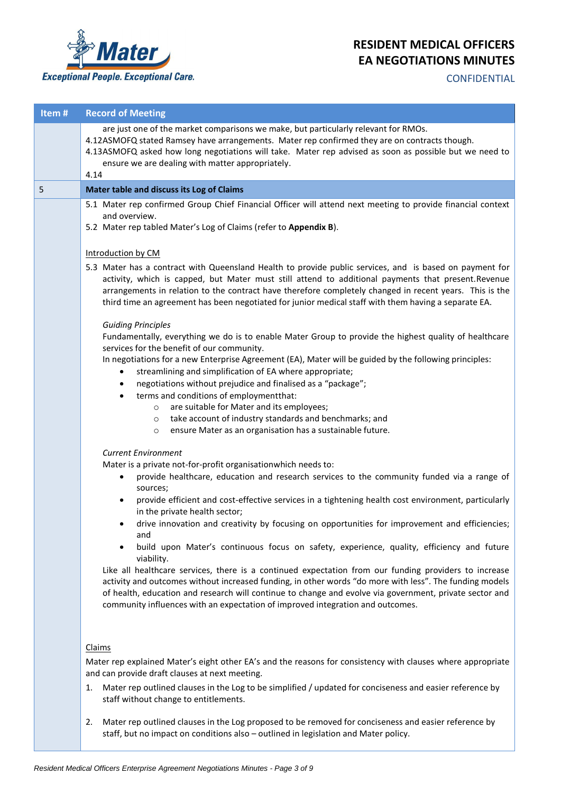

**CONFIDENTIAL** 

| Item# | <b>Record of Meeting</b>                                                                                                                                                                                                                                                                                                                                                                                                          |
|-------|-----------------------------------------------------------------------------------------------------------------------------------------------------------------------------------------------------------------------------------------------------------------------------------------------------------------------------------------------------------------------------------------------------------------------------------|
|       | are just one of the market comparisons we make, but particularly relevant for RMOs.<br>4.12ASMOFQ stated Ramsey have arrangements. Mater rep confirmed they are on contracts though.<br>4.13ASMOFQ asked how long negotiations will take. Mater rep advised as soon as possible but we need to<br>ensure we are dealing with matter appropriately.                                                                                |
|       | 4.14                                                                                                                                                                                                                                                                                                                                                                                                                              |
| 5     | Mater table and discuss its Log of Claims                                                                                                                                                                                                                                                                                                                                                                                         |
|       | 5.1 Mater rep confirmed Group Chief Financial Officer will attend next meeting to provide financial context<br>and overview.                                                                                                                                                                                                                                                                                                      |
|       | 5.2 Mater rep tabled Mater's Log of Claims (refer to Appendix B).                                                                                                                                                                                                                                                                                                                                                                 |
|       | Introduction by CM                                                                                                                                                                                                                                                                                                                                                                                                                |
|       | 5.3 Mater has a contract with Queensland Health to provide public services, and is based on payment for<br>activity, which is capped, but Mater must still attend to additional payments that present. Revenue<br>arrangements in relation to the contract have therefore completely changed in recent years. This is the<br>third time an agreement has been negotiated for junior medical staff with them having a separate EA. |
|       | <b>Guiding Principles</b><br>Fundamentally, everything we do is to enable Mater Group to provide the highest quality of healthcare<br>services for the benefit of our community.                                                                                                                                                                                                                                                  |
|       | In negotiations for a new Enterprise Agreement (EA), Mater will be guided by the following principles:<br>streamlining and simplification of EA where appropriate;<br>$\bullet$<br>negotiations without prejudice and finalised as a "package";<br>$\bullet$                                                                                                                                                                      |
|       | terms and conditions of employment that:<br>$\bullet$                                                                                                                                                                                                                                                                                                                                                                             |
|       | are suitable for Mater and its employees;<br>$\circ$<br>take account of industry standards and benchmarks; and<br>$\circ$                                                                                                                                                                                                                                                                                                         |
|       | ensure Mater as an organisation has a sustainable future.<br>$\circ$                                                                                                                                                                                                                                                                                                                                                              |
|       |                                                                                                                                                                                                                                                                                                                                                                                                                                   |
|       | <b>Current Environment</b><br>Mater is a private not-for-profit organisationwhich needs to:                                                                                                                                                                                                                                                                                                                                       |
|       | provide healthcare, education and research services to the community funded via a range of<br>sources;                                                                                                                                                                                                                                                                                                                            |
|       | provide efficient and cost-effective services in a tightening health cost environment, particularly<br>٠<br>in the private health sector;                                                                                                                                                                                                                                                                                         |
|       | drive innovation and creativity by focusing on opportunities for improvement and efficiencies;<br>٠<br>and                                                                                                                                                                                                                                                                                                                        |
|       | build upon Mater's continuous focus on safety, experience, quality, efficiency and future<br>$\bullet$<br>viability.                                                                                                                                                                                                                                                                                                              |
|       | Like all healthcare services, there is a continued expectation from our funding providers to increase<br>activity and outcomes without increased funding, in other words "do more with less". The funding models<br>of health, education and research will continue to change and evolve via government, private sector and<br>community influences with an expectation of improved integration and outcomes.                     |
|       | Claims                                                                                                                                                                                                                                                                                                                                                                                                                            |
|       | Mater rep explained Mater's eight other EA's and the reasons for consistency with clauses where appropriate<br>and can provide draft clauses at next meeting.                                                                                                                                                                                                                                                                     |
|       | Mater rep outlined clauses in the Log to be simplified / updated for conciseness and easier reference by<br>1.<br>staff without change to entitlements.                                                                                                                                                                                                                                                                           |
|       | Mater rep outlined clauses in the Log proposed to be removed for conciseness and easier reference by<br>2.<br>staff, but no impact on conditions also - outlined in legislation and Mater policy.                                                                                                                                                                                                                                 |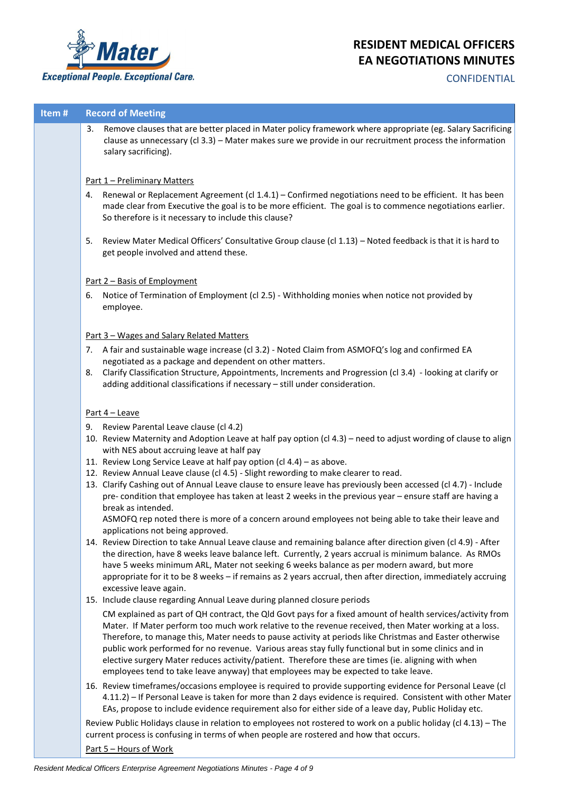

## **CONFIDENTIAL**

## **Item # Record of Meeting**

3. Remove clauses that are better placed in Mater policy framework where appropriate (eg. Salary Sacrificing clause as unnecessary (cl 3.3) – Mater makes sure we provide in our recruitment process the information salary sacrificing).

## Part 1 – Preliminary Matters

- 4. Renewal or Replacement Agreement (cl 1.4.1) Confirmed negotiations need to be efficient. It has been made clear from Executive the goal is to be more efficient. The goal is to commence negotiations earlier. So therefore is it necessary to include this clause?
- 5. Review Mater Medical Officers' Consultative Group clause (cl 1.13) Noted feedback is that it is hard to get people involved and attend these.

## Part 2 – Basis of Employment

6. Notice of Termination of Employment (cl 2.5) - Withholding monies when notice not provided by employee.

## Part 3 – Wages and Salary Related Matters

- 7. A fair and sustainable wage increase (cl 3.2) Noted Claim from ASMOFQ's log and confirmed EA negotiated as a package and dependent on other matters.
- 8. Clarify Classification Structure, Appointments, Increments and Progression (cl 3.4) looking at clarify or adding additional classifications if necessary – still under consideration.

## Part 4 – Leave

- 9. Review Parental Leave clause (cl 4.2)
- 10. Review Maternity and Adoption Leave at half pay option (cl 4.3) need to adjust wording of clause to align with NES about accruing leave at half pay
- 11. Review Long Service Leave at half pay option (cl 4.4) as above.
- 12. Review Annual Leave clause (cl 4.5) Slight rewording to make clearer to read.
- 13. Clarify Cashing out of Annual Leave clause to ensure leave has previously been accessed (cl 4.7) Include pre- condition that employee has taken at least 2 weeks in the previous year – ensure staff are having a break as intended.

ASMOFQ rep noted there is more of a concern around employees not being able to take their leave and applications not being approved.

- 14. Review Direction to take Annual Leave clause and remaining balance after direction given (cl 4.9) After the direction, have 8 weeks leave balance left. Currently, 2 years accrual is minimum balance. As RMOs have 5 weeks minimum ARL, Mater not seeking 6 weeks balance as per modern award, but more appropriate for it to be 8 weeks – if remains as 2 years accrual, then after direction, immediately accruing excessive leave again.
- 15. Include clause regarding Annual Leave during planned closure periods

CM explained as part of QH contract, the Qld Govt pays for a fixed amount of health services/activity from Mater. If Mater perform too much work relative to the revenue received, then Mater working at a loss. Therefore, to manage this, Mater needs to pause activity at periods like Christmas and Easter otherwise public work performed for no revenue. Various areas stay fully functional but in some clinics and in elective surgery Mater reduces activity/patient. Therefore these are times (ie. aligning with when employees tend to take leave anyway) that employees may be expected to take leave.

16. Review timeframes/occasions employee is required to provide supporting evidence for Personal Leave (cl 4.11.2) – If Personal Leave is taken for more than 2 days evidence is required. Consistent with other Mater EAs, propose to include evidence requirement also for either side of a leave day, Public Holiday etc.

Review Public Holidays clause in relation to employees not rostered to work on a public holiday (cl 4.13) – The current process is confusing in terms of when people are rostered and how that occurs. Part 5 – Hours of Work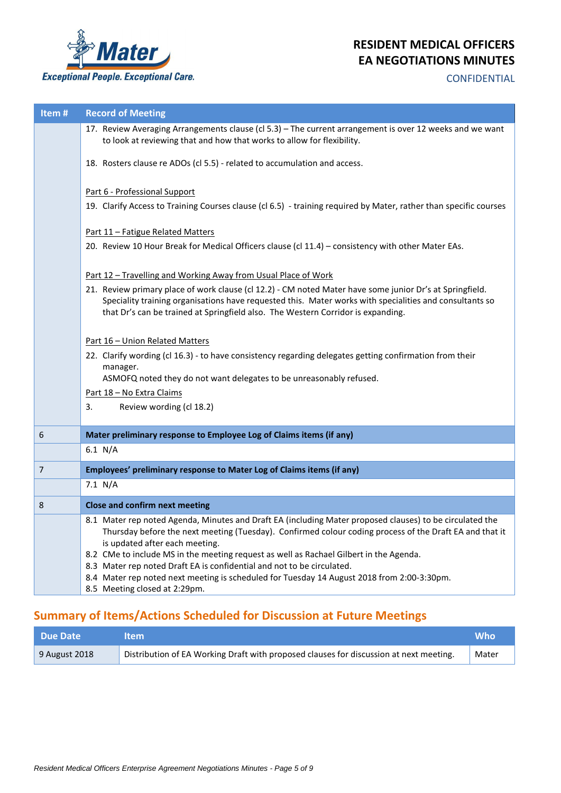

## **CONFIDENTIAL**

| Item#          | <b>Record of Meeting</b>                                                                                                                                                                                                                                                                                |
|----------------|---------------------------------------------------------------------------------------------------------------------------------------------------------------------------------------------------------------------------------------------------------------------------------------------------------|
|                | 17. Review Averaging Arrangements clause (cl 5.3) - The current arrangement is over 12 weeks and we want<br>to look at reviewing that and how that works to allow for flexibility.                                                                                                                      |
|                | 18. Rosters clause re ADOs (cl 5.5) - related to accumulation and access.                                                                                                                                                                                                                               |
|                | Part 6 - Professional Support                                                                                                                                                                                                                                                                           |
|                | 19. Clarify Access to Training Courses clause (cl 6.5) - training required by Mater, rather than specific courses                                                                                                                                                                                       |
|                | Part 11 - Fatigue Related Matters                                                                                                                                                                                                                                                                       |
|                | 20. Review 10 Hour Break for Medical Officers clause (cl 11.4) - consistency with other Mater EAs.                                                                                                                                                                                                      |
|                | Part 12 - Travelling and Working Away from Usual Place of Work                                                                                                                                                                                                                                          |
|                | 21. Review primary place of work clause (cl 12.2) - CM noted Mater have some junior Dr's at Springfield.<br>Speciality training organisations have requested this. Mater works with specialities and consultants so<br>that Dr's can be trained at Springfield also. The Western Corridor is expanding. |
|                | Part 16 - Union Related Matters                                                                                                                                                                                                                                                                         |
|                | 22. Clarify wording (cl 16.3) - to have consistency regarding delegates getting confirmation from their                                                                                                                                                                                                 |
|                | manager.                                                                                                                                                                                                                                                                                                |
|                | ASMOFQ noted they do not want delegates to be unreasonably refused.                                                                                                                                                                                                                                     |
|                | Part 18 - No Extra Claims                                                                                                                                                                                                                                                                               |
|                | 3.<br>Review wording (cl 18.2)                                                                                                                                                                                                                                                                          |
| 6              | Mater preliminary response to Employee Log of Claims items (if any)                                                                                                                                                                                                                                     |
|                | 6.1 N/A                                                                                                                                                                                                                                                                                                 |
| $\overline{7}$ | Employees' preliminary response to Mater Log of Claims items (if any)                                                                                                                                                                                                                                   |
|                | 7.1 N/A                                                                                                                                                                                                                                                                                                 |
| 8              | <b>Close and confirm next meeting</b>                                                                                                                                                                                                                                                                   |
|                | 8.1 Mater rep noted Agenda, Minutes and Draft EA (including Mater proposed clauses) to be circulated the<br>Thursday before the next meeting (Tuesday). Confirmed colour coding process of the Draft EA and that it<br>is updated after each meeting.                                                   |
|                | 8.2 CMe to include MS in the meeting request as well as Rachael Gilbert in the Agenda.                                                                                                                                                                                                                  |
|                | 8.3 Mater rep noted Draft EA is confidential and not to be circulated.<br>8.4 Mater rep noted next meeting is scheduled for Tuesday 14 August 2018 from 2:00-3:30pm.                                                                                                                                    |
|                | 8.5 Meeting closed at 2:29pm.                                                                                                                                                                                                                                                                           |

# **Summary of Items/Actions Scheduled for Discussion at Future Meetings**

| Due Date      | ltem.                                                                                  | <b>Who</b> |
|---------------|----------------------------------------------------------------------------------------|------------|
| 9 August 2018 | Distribution of EA Working Draft with proposed clauses for discussion at next meeting. | Mater      |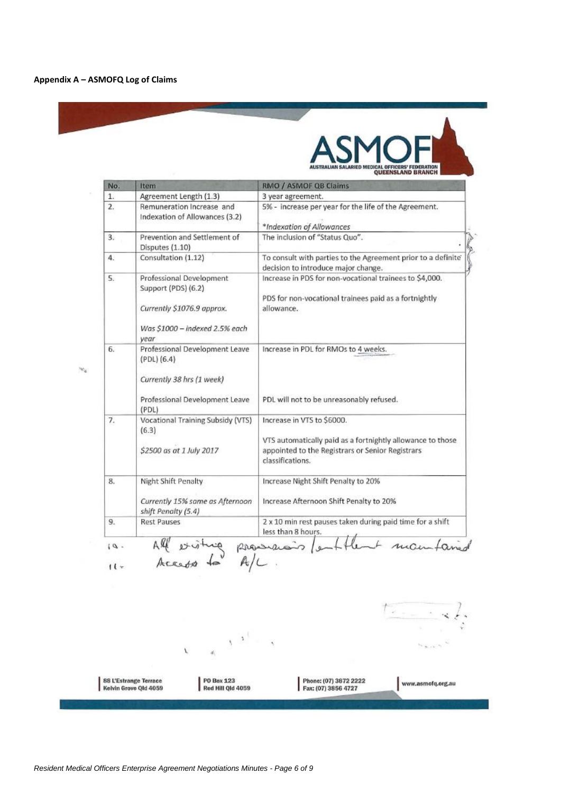

| No.          | Item                                                                                                                    | RMO / ASMOF QB Claims                                                                                                                                            |
|--------------|-------------------------------------------------------------------------------------------------------------------------|------------------------------------------------------------------------------------------------------------------------------------------------------------------|
| 1.           | Agreement Length (1.3)                                                                                                  | 3 year agreement.                                                                                                                                                |
| $\mathbf{2}$ | Remuneration Increase and<br>Indexation of Allowances (3.2)                                                             | 5% - increase per year for the life of the Agreement.<br>*Indexation of Allowances                                                                               |
| 3.           | Prevention and Settlement of<br>Disputes (1.10)                                                                         | The inclusion of "Status Quo".                                                                                                                                   |
| 4.           | Consultation (1.12)                                                                                                     | To consult with parties to the Agreement prior to a definite<br>decision to introduce major change.                                                              |
| 5.           | Professional Development<br>Support (PDS) (6.2)<br>Currently \$1076.9 approx.<br>Was \$1000 - indexed 2.5% each<br>year | Increase in PDS for non-vocational trainees to \$4,000.<br>PDS for non-vocational trainees paid as a fortnightly<br>allowance.                                   |
| 6.           | Professional Development Leave<br>(PDL) (6.4)<br>Currently 38 hrs (1 week)<br>Professional Development Leave<br>(PDL)   | Increase in PDL for RMOs to 4 weeks.<br>PDL will not to be unreasonably refused.                                                                                 |
| 7.           | Vocational Training Subsidy (VTS)<br>(6.3)<br>\$2500 as at 1 July 2017                                                  | Increase in VTS to \$6000.<br>VTS automatically paid as a fortnightly allowance to those<br>appointed to the Registrars or Senior Registrars<br>classifications. |
| 8.           | Night Shift Penalty<br>Currently 15% same as Afternoon<br>shift Penalty (5.4)                                           | Increase Night Shift Penalty to 20%<br>Increase Afternoon Shift Penalty to 20%                                                                                   |
| 9.           | <b>Rest Pauses</b>                                                                                                      | 2 x 10 min rest pauses taken during paid time for a shift<br>less than 8 hours.                                                                                  |

 $\frac{1}{\sqrt{1-\frac{1}{2}}}\times\frac{1}{2}$  $\mathcal{N}^{(A^{\mathcal{A}})}$  . **HAIRS** Ÿ, 88 L'Estrange Terrace<br>Kelvin Grove Qld 4059 PO Box 123<br>Red Hill Qld 4059 Phone: (07) 3872 2222<br>Fax: (07) 3856 4727 www.asmofq.org.au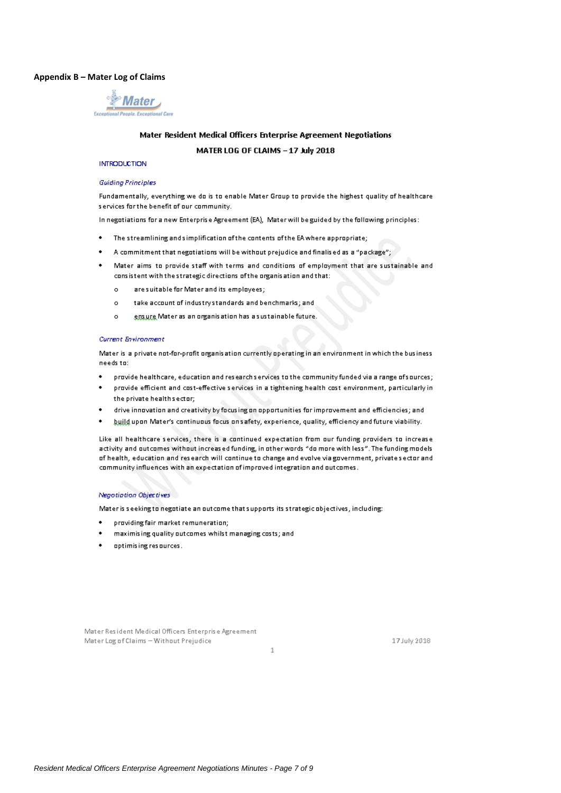### Appendix B - Mater Log of Claims



## Mater Resident Medical Officers Enterprise Agreement Negotiations

MATER LOG OF CLAIMS - 17 July 2018

#### **INTRODUCTION**

#### **Guiding Principles**

Fundamentally, everything we do is to enable Mater Group to provide the highest quality of healthcare services for the benefit of our community.

In negotiations for a new Enterprise Agreement (EA), Mater will be guided by the following principles:

- The streamlining and simplification of the contents of the EA where appropriate;  $\ddot{\phantom{0}}$
- A commitment that negotiations will be without prejudice and finalised as a "package";
- Mater aims to provide staff with terms and conditions of employment that are sustainable and consistent with the strategic directions of the organisation and that:
	- are suitable for Mater and its employees:  $\alpha$
	- take account of industry standards and benchmarks; and  $\alpha$
	- ensure Mater as an organisation has a sustainable future.  $\sim$

#### **Current Environment**

Mater is a private not-for-profit organisation currently operating in an environment in which the business needs to:

- provide healthcare, education and research services to the community funded via a range of sources;
- provide efficient and cost-effective services in a tightening health cost environment, particularly in the private health sector;
- drive innovation and creativity by focusing on opportunities for improvement and efficiencies; and
- build upon Mater's continuous focus on safety, experience, quality, efficiency and future viability.

Like all healthcare services, there is a continued expectation from our funding providers to increase activity and outcomes without increased funding, in other words "do more with less". The funding models of health, education and research will continue to change and evolve viagovernment, privates ector and community influences with an expectation of improved integration and outcomes.

 $\mathbf{1}$ 

#### Negotiation Objectives

Mater is seeking to negotiate an outcome that supports its strategic objectives, including:

- providing fair market remuneration;
- maximising quality outcomes whilst managing costs; and
- optimising resources.

Mater Resident Medical Officers Enterprise Agreement Mater Log of Claims - Without Prejudice

17 July 2018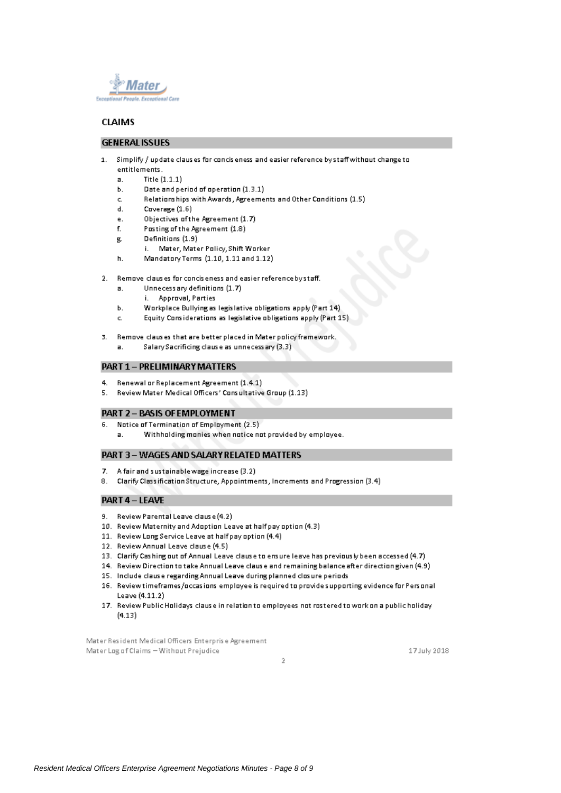

## **CLAIMS**

 $\overline{a}$ .

## **GENERAL ISSUES**

- 1. Simplify / update clauses for conciseness and easier reference by staff without change to entitlements.
	- $\overline{a}$ . Title (1.1.1)
	- Date and period of operation (1.3.1) Ъ.
	- Relationships with Awards, Agreements and Other Conditions (1.5) c.
	- d. Coverage (1.6)
	- Objectives of the Agreement (1.7) ė.
	- $\mathbf{f}$ Posting of the Agreement (1.8)
	- Definitions (1.9) , 모
	- i. Mater, Mater Policy, Shift Worker
	- h. Mandatory Terms (1.10, 1.11 and 1.12)
- 2. Remove clauses for conciseness and easier reference by staff.
	- Unnecessary definitions (1.7)
	- i. Approval, Parties
	- Workplace Bullying as legislative obligations apply (Part 14) h.
	- Equity Considerations as legislative obligations apply (Part 15) c.
- Remove clauses that are better placed in Mater policy framework.  $\mathbf{B}$ 
	- Salary Sacrificing clause as unnecess ary (3.3)  $\overline{a}$ .

## **PART 1 - PRELIMINARY MATTERS**

- 4. Renewal or Replacement Agreement (1.4.1)
- 5. Review Mater Medical Officers' Consultative Group (1.13)

#### **PART 2-BASIS OF EMPLOYMENT**

- Notice of Termination of Employment (2.5) 6.
	- Withholding monies when notice not provided by employee.  $\overline{a}$ .

### PART 3-WAGES AND SALARY RELATED MATTERS

- 7. A fair and sustainable wage increase (3.2)
- Clarify Classification Structure, Appointments, Increments and Progression (3.4) 8.

### PART 4 - LEAVE

- 9. Review Parental Leave clause (4.2)
- 10. Review Maternity and Adoption Leave at half pay option (4.3)
- 11. Review Long Service Leave at half pay option (4.4)
- 12. Review Annual Leave clause (4.5)
- 13. Clarify Cashing out of Annual Leave clause to ensure leave has previously been accessed (4.7)
- 14. Review Direction to take Annual Leave clause and remaining balance after direction given (4.9)
- 15. Include clause regarding Annual Leave during planned closure periods
- 16. Review timeframes/occasions employee is required to provide supporting evidence for Personal Leave (4.11.2)
- 17. Review Public Holidays clause in relation to employees not rostered to work on a public holiday  $(4.13)$

 $\bar{2}$ 

Mater Resident Medical Officers Enterprise Agreement Mater Log of Claims - Without Prejudice

17 July 2018